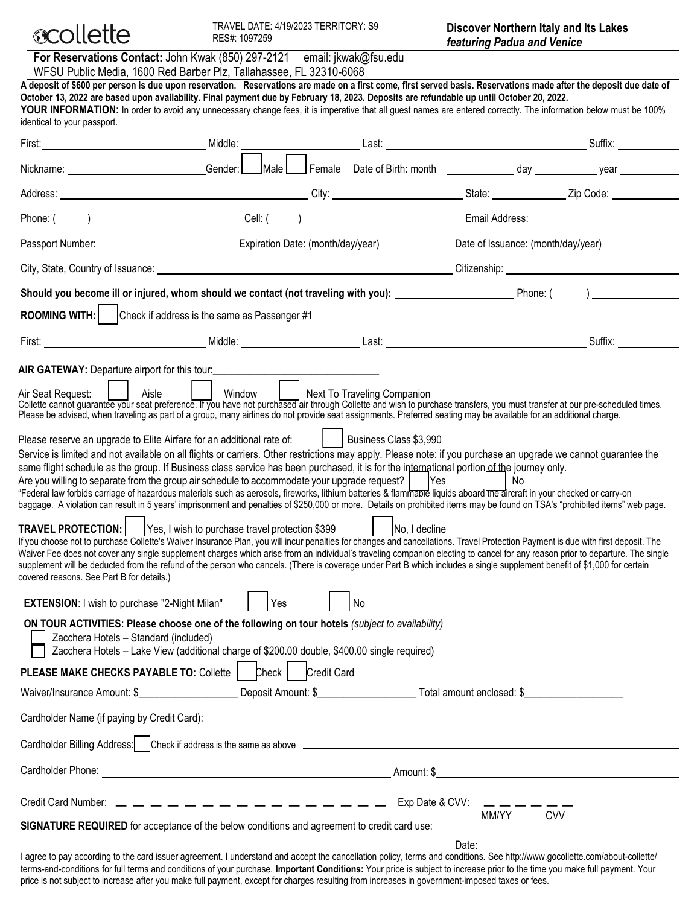

| For Reservations Contact: John Kwak (850) 297-2121 email: jkwak@fsu.edu<br>WFSU Public Media, 1600 Red Barber Plz, Tallahassee, FL 32310-6068                                                                                                                                                                                                                                                                                                                                                                                                                                                                                                                                                                                                                                                                                                                                                         |                                                                                                                                                                  |  |  |  |  |
|-------------------------------------------------------------------------------------------------------------------------------------------------------------------------------------------------------------------------------------------------------------------------------------------------------------------------------------------------------------------------------------------------------------------------------------------------------------------------------------------------------------------------------------------------------------------------------------------------------------------------------------------------------------------------------------------------------------------------------------------------------------------------------------------------------------------------------------------------------------------------------------------------------|------------------------------------------------------------------------------------------------------------------------------------------------------------------|--|--|--|--|
| A deposit of \$600 per person is due upon reservation. Reservations are made on a first come, first served basis. Reservations made after the deposit due date of<br>October 13, 2022 are based upon availability. Final payment due by February 18, 2023. Deposits are refundable up until October 20, 2022.<br>YOUR INFORMATION: In order to avoid any unnecessary change fees, it is imperative that all quest names are entered correctly. The information below must be 100%<br>identical to your passport.                                                                                                                                                                                                                                                                                                                                                                                      |                                                                                                                                                                  |  |  |  |  |
| First: Middle:                                                                                                                                                                                                                                                                                                                                                                                                                                                                                                                                                                                                                                                                                                                                                                                                                                                                                        |                                                                                                                                                                  |  |  |  |  |
| Nickname: Cambridge Conder:                                                                                                                                                                                                                                                                                                                                                                                                                                                                                                                                                                                                                                                                                                                                                                                                                                                                           |                                                                                                                                                                  |  |  |  |  |
|                                                                                                                                                                                                                                                                                                                                                                                                                                                                                                                                                                                                                                                                                                                                                                                                                                                                                                       |                                                                                                                                                                  |  |  |  |  |
| Phone: (                                                                                                                                                                                                                                                                                                                                                                                                                                                                                                                                                                                                                                                                                                                                                                                                                                                                                              |                                                                                                                                                                  |  |  |  |  |
|                                                                                                                                                                                                                                                                                                                                                                                                                                                                                                                                                                                                                                                                                                                                                                                                                                                                                                       | Passport Number: ___________________________________Expiration Date: (month/day/year) ________________Date of Issuance: (month/day/year) _______________________ |  |  |  |  |
|                                                                                                                                                                                                                                                                                                                                                                                                                                                                                                                                                                                                                                                                                                                                                                                                                                                                                                       |                                                                                                                                                                  |  |  |  |  |
| Should you become ill or injured, whom should we contact (not traveling with you): _________________________Phone: (<br>$\overline{a}$                                                                                                                                                                                                                                                                                                                                                                                                                                                                                                                                                                                                                                                                                                                                                                |                                                                                                                                                                  |  |  |  |  |
| ROOMING WITH:   Check if address is the same as Passenger #1                                                                                                                                                                                                                                                                                                                                                                                                                                                                                                                                                                                                                                                                                                                                                                                                                                          |                                                                                                                                                                  |  |  |  |  |
|                                                                                                                                                                                                                                                                                                                                                                                                                                                                                                                                                                                                                                                                                                                                                                                                                                                                                                       |                                                                                                                                                                  |  |  |  |  |
| AIR GATEWAY: Departure airport for this tour:                                                                                                                                                                                                                                                                                                                                                                                                                                                                                                                                                                                                                                                                                                                                                                                                                                                         |                                                                                                                                                                  |  |  |  |  |
| Window   Next To Traveling Companion<br>Aisle<br>Air Seat Request:<br>Collette cannot guarantee your seat preference. If you have not purchased air through Collette and wish to purchase transfers, you must transfer at our pre-scheduled times.<br>Please be advised, when traveling as part of a group, many airlines do not provide seat assignments. Preferred seating may be available for an additional charge.                                                                                                                                                                                                                                                                                                                                                                                                                                                                               |                                                                                                                                                                  |  |  |  |  |
| Please reserve an upgrade to Elite Airfare for an additional rate of:     Business Class \$3,990<br>Service is limited and not available on all flights or carriers. Other restrictions may apply. Please note: if you purchase an upgrade we cannot guarantee the<br>same flight schedule as the group. If Business class service has been purchased, it is for the international portion of the journey only.<br>Are you willing to separate from the group air schedule to accommodate your upgrade request?<br><b>Yes</b><br>No.<br>"Federal law forbids carriage of hazardous materials such as aerosols, fireworks, lithium batteries & flammable liquids aboard <i>the</i> aircraft in your checked or carry-on<br>baggage. A violation can result in 5 years' imprisonment and penalties of \$250,000 or more. Details on prohibited items may be found on TSA's "prohibited items" web page. |                                                                                                                                                                  |  |  |  |  |
| <b>TRAVEL PROTECTION:</b>   Yes, I wish to purchase travel protection \$399<br>No, I decline<br>If you choose not to purchase Collette's Waiver Insurance Plan, you will incur penalties for changes and cancellations. Travel Protection Payment is due with first deposit. The<br>Waiver Fee does not cover any single supplement charges which arise from an individual's traveling companion electing to cancel for any reason prior to departure. The single<br>supplement will be deducted from the refund of the person who cancels. (There is coverage under Part B which includes a single supplement benefit of \$1,000 for certain<br>covered reasons. See Part B for details.)                                                                                                                                                                                                            |                                                                                                                                                                  |  |  |  |  |
| EXTENSION: I wish to purchase "2-Night Milan"<br>No<br>Yes                                                                                                                                                                                                                                                                                                                                                                                                                                                                                                                                                                                                                                                                                                                                                                                                                                            |                                                                                                                                                                  |  |  |  |  |
| ON TOUR ACTIVITIES: Please choose one of the following on tour hotels (subject to availability)<br>Zacchera Hotels - Standard (included)<br>Zacchera Hotels - Lake View (additional charge of \$200.00 double, \$400.00 single required)                                                                                                                                                                                                                                                                                                                                                                                                                                                                                                                                                                                                                                                              |                                                                                                                                                                  |  |  |  |  |
| Credit Card<br>PLEASE MAKE CHECKS PAYABLE TO: Collette<br>Check                                                                                                                                                                                                                                                                                                                                                                                                                                                                                                                                                                                                                                                                                                                                                                                                                                       |                                                                                                                                                                  |  |  |  |  |
|                                                                                                                                                                                                                                                                                                                                                                                                                                                                                                                                                                                                                                                                                                                                                                                                                                                                                                       |                                                                                                                                                                  |  |  |  |  |
| Cardholder Name (if paying by Credit Card): example and the control of the control of the control of the control of the control of the control of the control of the control of the control of the control of the control of t                                                                                                                                                                                                                                                                                                                                                                                                                                                                                                                                                                                                                                                                        |                                                                                                                                                                  |  |  |  |  |
|                                                                                                                                                                                                                                                                                                                                                                                                                                                                                                                                                                                                                                                                                                                                                                                                                                                                                                       |                                                                                                                                                                  |  |  |  |  |
| Cardholder Phone:                                                                                                                                                                                                                                                                                                                                                                                                                                                                                                                                                                                                                                                                                                                                                                                                                                                                                     | <u> 1980 - Jan Stein Stein, fransk politik (f. 1980)</u>                                                                                                         |  |  |  |  |
|                                                                                                                                                                                                                                                                                                                                                                                                                                                                                                                                                                                                                                                                                                                                                                                                                                                                                                       |                                                                                                                                                                  |  |  |  |  |
| MM/YY<br><b>CVV</b><br>SIGNATURE REQUIRED for acceptance of the below conditions and agreement to credit card use:                                                                                                                                                                                                                                                                                                                                                                                                                                                                                                                                                                                                                                                                                                                                                                                    |                                                                                                                                                                  |  |  |  |  |
| Date:                                                                                                                                                                                                                                                                                                                                                                                                                                                                                                                                                                                                                                                                                                                                                                                                                                                                                                 |                                                                                                                                                                  |  |  |  |  |

I agree to pay according to the card issuer agreement. I understand and accept the cancellation policy, terms and conditions. See http://www.gocollette.com/about-collette/ terms-and-conditions for full terms and conditions of your purchase. **Important Conditions:** Your price is subject to increase prior to the time you make full payment. Your price is not subject to increase after you make full payment, except for charges resulting from increases in government-imposed taxes or fees.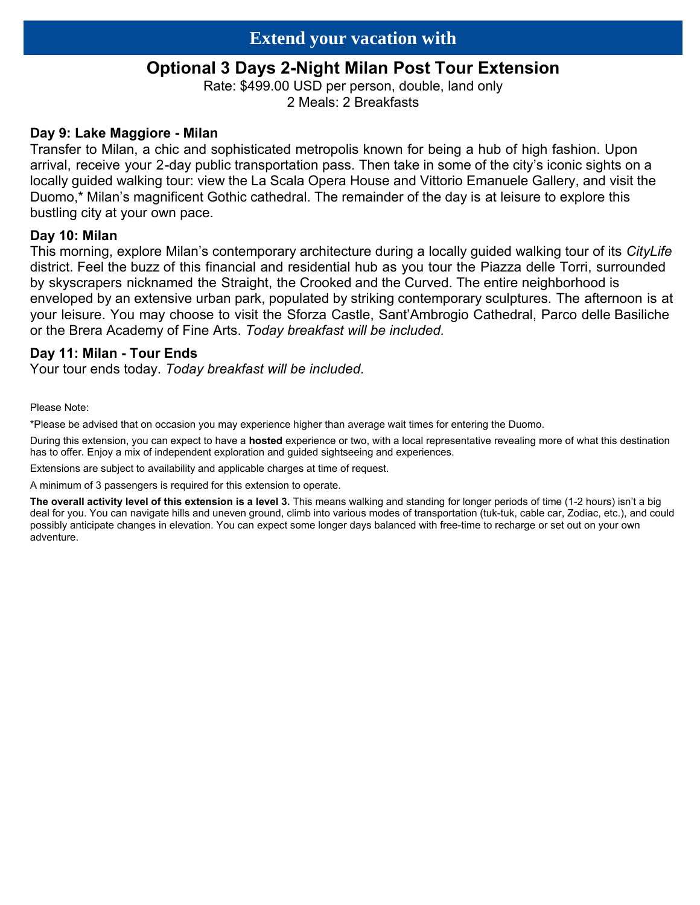# **Optional 3 Days 2-Night Milan Post Tour Extension**

Rate: \$499.00 USD per person, double, land only 2 Meals: 2 Breakfasts

## **Day 9: Lake Maggiore - Milan**

Transfer to Milan, a chic and sophisticated metropolis known for being a hub of high fashion. Upon arrival, receive your 2-day public transportation pass. Then take in some of the city's iconic sights on a locally guided walking tour: view the La Scala Opera House and Vittorio Emanuele Gallery, and visit the Duomo,\* Milan's magnificent Gothic cathedral. The remainder of the day is at leisure to explore this bustling city at your own pace.

## **Day 10: Milan**

This morning, explore Milan's contemporary architecture during a locally guided walking tour of its *CityLife* district. Feel the buzz of this financial and residential hub as you tour the Piazza delle Torri, surrounded by skyscrapers nicknamed the Straight, the Crooked and the Curved. The entire neighborhood is enveloped by an extensive urban park, populated by striking contemporary sculptures. The afternoon is at your leisure. You may choose to visit the Sforza Castle, Sant'Ambrogio Cathedral, Parco delle Basiliche or the Brera Academy of Fine Arts. *Today breakfast will be included.*

## **Day 11: Milan - Tour Ends**

Your tour ends today. *Today breakfast will be included.*

Please Note:

\*Please be advised that on occasion you may experience higher than average wait times for entering the Duomo.

During this extension, you can expect to have a **hosted** experience or two, with a local representative revealing more of what this destination has to offer. Enjoy a mix of independent exploration and guided sightseeing and experiences.

Extensions are subject to availability and applicable charges at time of request.

A minimum of 3 passengers is required for this extension to operate.

**The overall activity level of this extension is a level 3.** This means walking and standing for longer periods of time (1-2 hours) isn't a big deal for you. You can navigate hills and uneven ground, climb into various modes of transportation (tuk-tuk, cable car, Zodiac, etc.), and could possibly anticipate changes in elevation. You can expect some longer days balanced with free-time to recharge or set out on your own adventure.